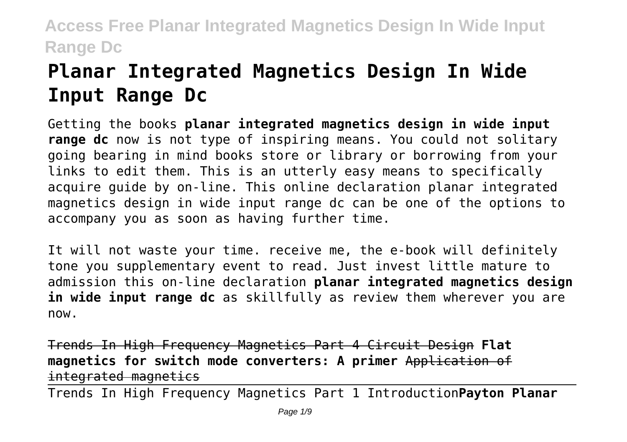# **Planar Integrated Magnetics Design In Wide Input Range Dc**

Getting the books **planar integrated magnetics design in wide input range dc** now is not type of inspiring means. You could not solitary going bearing in mind books store or library or borrowing from your links to edit them. This is an utterly easy means to specifically acquire guide by on-line. This online declaration planar integrated magnetics design in wide input range dc can be one of the options to accompany you as soon as having further time.

It will not waste your time. receive me, the e-book will definitely tone you supplementary event to read. Just invest little mature to admission this on-line declaration **planar integrated magnetics design in wide input range dc** as skillfully as review them wherever you are now.

Trends In High Frequency Magnetics Part 4 Circuit Design **Flat magnetics for switch mode converters: A primer** Application of integrated magnetics

Trends In High Frequency Magnetics Part 1 Introduction**Payton Planar**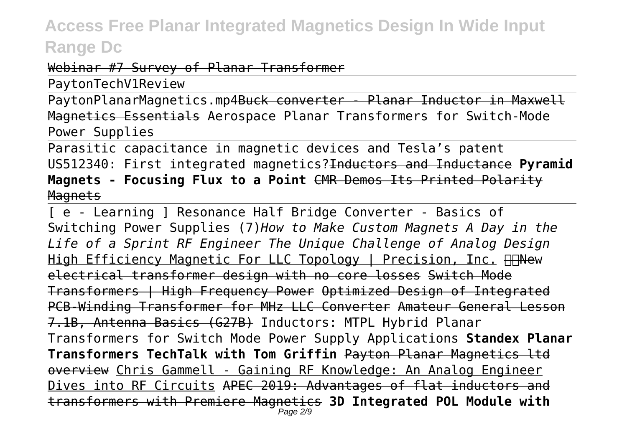#### Webinar #7 Survey of Planar Transformer

PaytonTechV1Review

PaytonPlanarMagnetics.mp4Buck converter - Planar Inductor in Maxwell Magnetics Essentials Aerospace Planar Transformers for Switch-Mode Power Supplies

Parasitic capacitance in magnetic devices and Tesla's patent US512340: First integrated magnetics?Inductors and Inductance **Pyramid Magnets - Focusing Flux to a Point** CMR Demos Its Printed Polarity **Magnets** 

[ e - Learning ] Resonance Half Bridge Converter - Basics of Switching Power Supplies (7)*How to Make Custom Magnets A Day in the Life of a Sprint RF Engineer The Unique Challenge of Analog Design* High Efficiency Magnetic For LLC Topology | Precision, Inc. **Hew** electrical transformer design with no core losses Switch Mode Transformers | High Frequency Power Optimized Design of Integrated PCB-Winding Transformer for MHz LLC Converter Amateur General Lesson 7.1B, Antenna Basics (G27B) Inductors: MTPL Hybrid Planar Transformers for Switch Mode Power Supply Applications **Standex Planar Transformers TechTalk with Tom Griffin** Payton Planar Magnetics ltd overview Chris Gammell - Gaining RF Knowledge: An Analog Engineer Dives into RF Circuits APEC 2019: Advantages of flat inductors and transformers with Premiere Magnetics **3D Integrated POL Module with** Page 2/9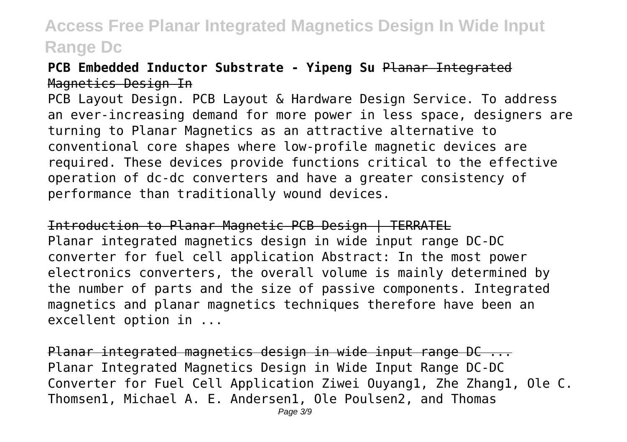#### **PCB Embedded Inductor Substrate - Yipeng Su** Planar Integrated Magnetics Design In

PCB Layout Design. PCB Layout & Hardware Design Service. To address an ever-increasing demand for more power in less space, designers are turning to Planar Magnetics as an attractive alternative to conventional core shapes where low-profile magnetic devices are required. These devices provide functions critical to the effective operation of dc-dc converters and have a greater consistency of performance than traditionally wound devices.

Introduction to Planar Magnetic PCB Design | TERRATEL Planar integrated magnetics design in wide input range DC-DC converter for fuel cell application Abstract: In the most power electronics converters, the overall volume is mainly determined by the number of parts and the size of passive components. Integrated magnetics and planar magnetics techniques therefore have been an excellent option in ...

Planar integrated magnetics design in wide input range DC ... Planar Integrated Magnetics Design in Wide Input Range DC-DC Converter for Fuel Cell Application Ziwei Ouyang1, Zhe Zhang1, Ole C. Thomsen1, Michael A. E. Andersen1, Ole Poulsen2, and Thomas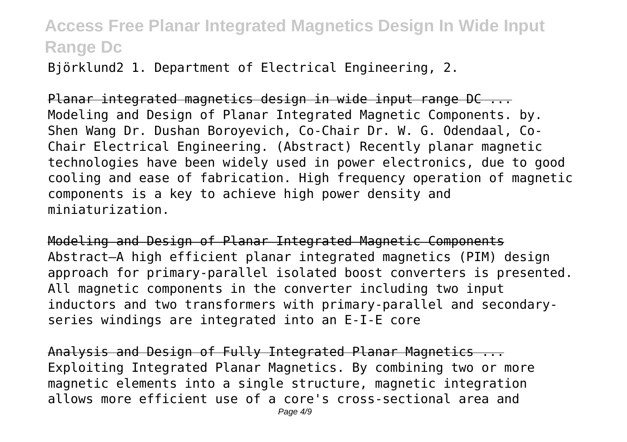Björklund2 1. Department of Electrical Engineering, 2.

Planar integrated magnetics design in wide input range DC ... Modeling and Design of Planar Integrated Magnetic Components. by. Shen Wang Dr. Dushan Boroyevich, Co-Chair Dr. W. G. Odendaal, Co-Chair Electrical Engineering. (Abstract) Recently planar magnetic technologies have been widely used in power electronics, due to good cooling and ease of fabrication. High frequency operation of magnetic components is a key to achieve high power density and miniaturization.

Modeling and Design of Planar Integrated Magnetic Components Abstract—A high efficient planar integrated magnetics (PIM) design approach for primary-parallel isolated boost converters is presented. All magnetic components in the converter including two input inductors and two transformers with primary-parallel and secondaryseries windings are integrated into an E-I-E core

Analysis and Design of Fully Integrated Planar Magnetics ... Exploiting Integrated Planar Magnetics. By combining two or more magnetic elements into a single structure, magnetic integration allows more efficient use of a core's cross-sectional area and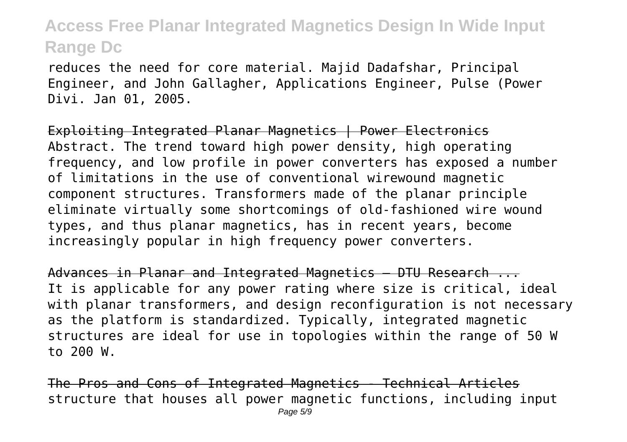reduces the need for core material. Majid Dadafshar, Principal Engineer, and John Gallagher, Applications Engineer, Pulse (Power Divi. Jan 01, 2005.

Exploiting Integrated Planar Magnetics | Power Electronics Abstract. The trend toward high power density, high operating frequency, and low profile in power converters has exposed a number of limitations in the use of conventional wirewound magnetic component structures. Transformers made of the planar principle eliminate virtually some shortcomings of old‐fashioned wire wound types, and thus planar magnetics, has in recent years, become increasingly popular in high frequency power converters.

Advances in Planar and Integrated Magnetics — DTU Research ... It is applicable for any power rating where size is critical, ideal with planar transformers, and design reconfiguration is not necessary as the platform is standardized. Typically, integrated magnetic structures are ideal for use in topologies within the range of 50 W to 200 W.

The Pros and Cons of Integrated Magnetics - Technical Articles structure that houses all power magnetic functions, including input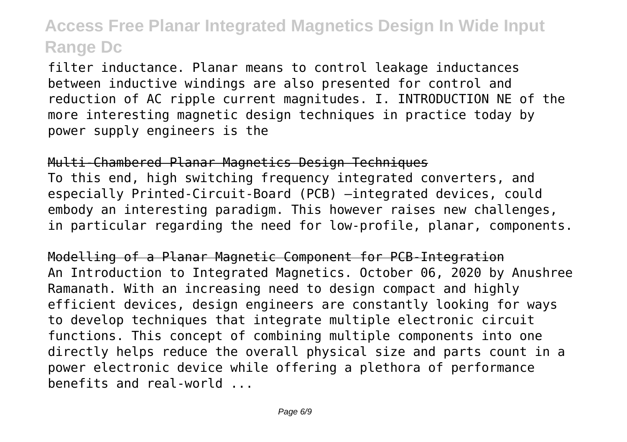filter inductance. Planar means to control leakage inductances between inductive windings are also presented for control and reduction of AC ripple current magnitudes. I. INTRODUCTION NE of the more interesting magnetic design techniques in practice today by power supply engineers is the

Multi-Chambered Planar Magnetics Design Techniques To this end, high switching frequency integrated converters, and especially Printed-Circuit-Board (PCB) –integrated devices, could embody an interesting paradigm. This however raises new challenges, in particular regarding the need for low-profile, planar, components.

Modelling of a Planar Magnetic Component for PCB-Integration An Introduction to Integrated Magnetics. October 06, 2020 by Anushree Ramanath. With an increasing need to design compact and highly efficient devices, design engineers are constantly looking for ways to develop techniques that integrate multiple electronic circuit functions. This concept of combining multiple components into one directly helps reduce the overall physical size and parts count in a power electronic device while offering a plethora of performance benefits and real-world ...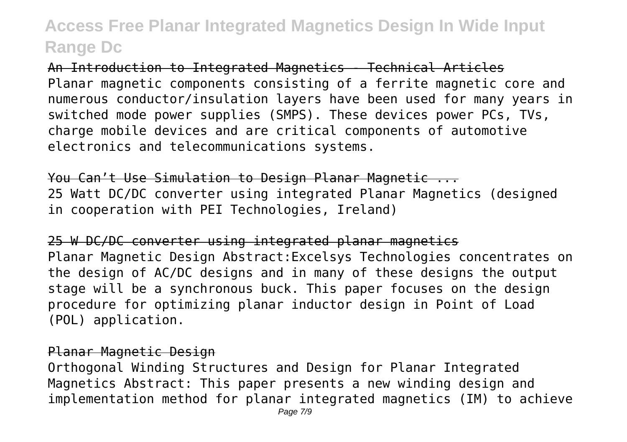An Introduction to Integrated Magnetics - Technical Articles Planar magnetic components consisting of a ferrite magnetic core and numerous conductor/insulation layers have been used for many years in switched mode power supplies (SMPS). These devices power PCs, TVs, charge mobile devices and are critical components of automotive electronics and telecommunications systems.

You Can't Use Simulation to Design Planar Magnetic ... 25 Watt DC/DC converter using integrated Planar Magnetics (designed in cooperation with PEI Technologies, Ireland)

25 W DC/DC converter using integrated planar magnetics Planar Magnetic Design Abstract:Excelsys Technologies concentrates on the design of AC/DC designs and in many of these designs the output stage will be a synchronous buck. This paper focuses on the design procedure for optimizing planar inductor design in Point of Load (POL) application.

#### Planar Magnetic Design

Orthogonal Winding Structures and Design for Planar Integrated Magnetics Abstract: This paper presents a new winding design and implementation method for planar integrated magnetics (IM) to achieve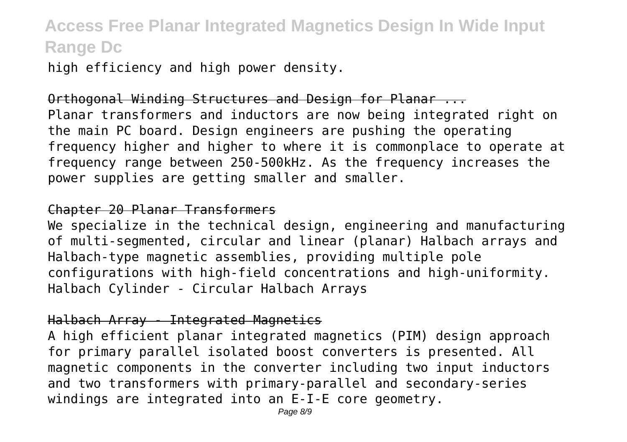high efficiency and high power density.

Orthogonal Winding Structures and Design for Planar ... Planar transformers and inductors are now being integrated right on the main PC board. Design engineers are pushing the operating frequency higher and higher to where it is commonplace to operate at frequency range between 250-500kHz. As the frequency increases the power supplies are getting smaller and smaller.

#### Chapter 20 Planar Transformers

We specialize in the technical design, engineering and manufacturing of multi-segmented, circular and linear (planar) Halbach arrays and Halbach-type magnetic assemblies, providing multiple pole configurations with high-field concentrations and high-uniformity. Halbach Cylinder - Circular Halbach Arrays

#### Halbach Array - Integrated Magnetics

A high efficient planar integrated magnetics (PIM) design approach for primary parallel isolated boost converters is presented. All magnetic components in the converter including two input inductors and two transformers with primary-parallel and secondary-series windings are integrated into an E-I-E core geometry.